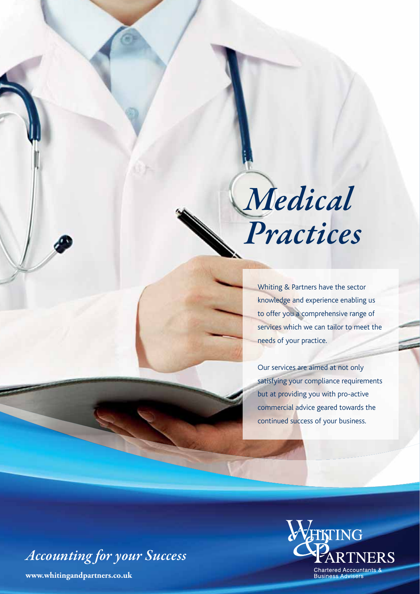

Whiting & Partners have the sector knowledge and experience enabling us to offer you a comprehensive range of services which we can tailor to meet the needs of your practice.

Our services are aimed at not only satisfying your compliance requirements but at providing you with pro-active commercial advice geared towards the continued success of your business.

*Accounting for your Success*

**www.whitingandpartners.co.uk**